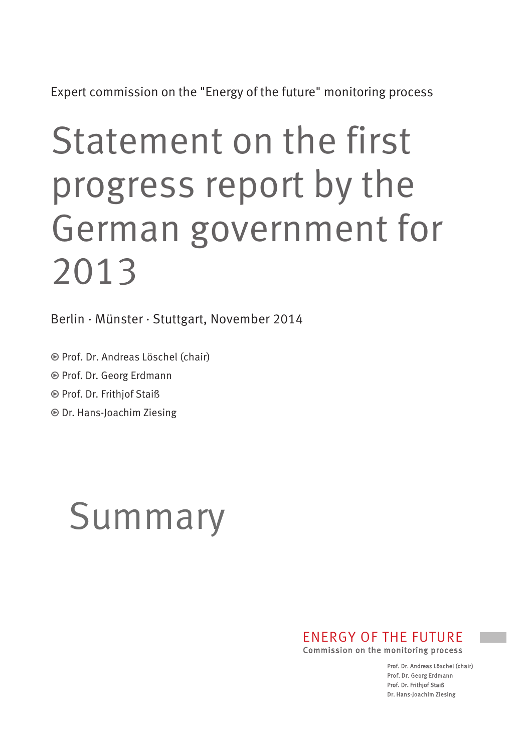Expert commission on the "Energy of the future" monitoring process

# Statement on the first progress report by the German government for 2013

Berlin · Münster · Stuttgart, November 2014

• Prof. Dr. Andreas Löschel (chair)

• Prof. Dr. Georg Erdmann

• Prof. Dr. Frithjof Staiß

• Dr. Hans-Joachim Ziesing

## Summary

### ENERGY OF THE FUTURE

Commission on the monitoring process

Prof. Dr. Andreas Löschel (chair) Prof. Dr. Georg Erdmann Prof. Dr. Frithjof Staiß Dr. Hans-Joachim Ziesing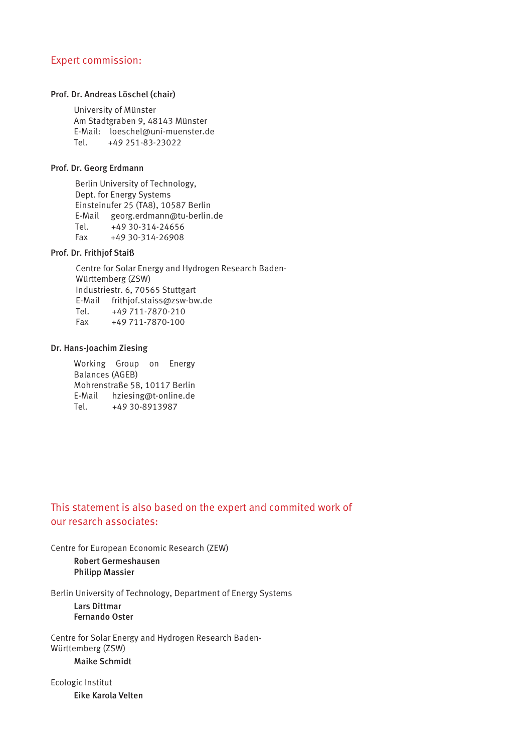#### Expert commission:

#### Prof. Dr. Andreas Löschel (chair)

University of Münster Am Stadtgraben 9, 48143 Münster E-Mail: loeschel@uni-muenster.de Tel. +49 251-83-23022

#### Prof. Dr. Georg Erdmann

Berlin University of Technology, Dept. for Energy Systems Einsteinufer 25 (TA8), 10587 Berlin E-Mail georg.erdmann@tu-berlin.de Tel. +49 30-314-24656 Fax +49 30-314-26908

#### Prof. Dr. Frithjof Staiß

Centre for Solar Energy and Hydrogen Research Baden-Württemberg (ZSW) Industriestr. 6, 70565 Stuttgart E-Mail frithjof.staiss@zsw-bw.de Tel. +49 711-7870-210<br>Fax +49 711-7870-100 Fax +49 711-7870-100

#### Dr. Hans-Joachim Ziesing

Working Group on Energy Balances (AGEB) Mohrenstraße 58, 10117 Berlin E-Mail hziesing@t-online.de<br>Tel. +49 30-8913987 Tel. +49 30-8913987

#### This statement is also based on the expert and commited work of our resarch associates:

Centre for European Economic Research (ZEW) Robert Germeshausen Philipp Massier

Berlin University of Technology, Department of Energy Systems

Lars Dittmar Fernando Oster

Centre for Solar Energy and Hydrogen Research Baden-Württemberg (ZSW) Maike Schmidt

Ecologic Institut Eike Karola Velten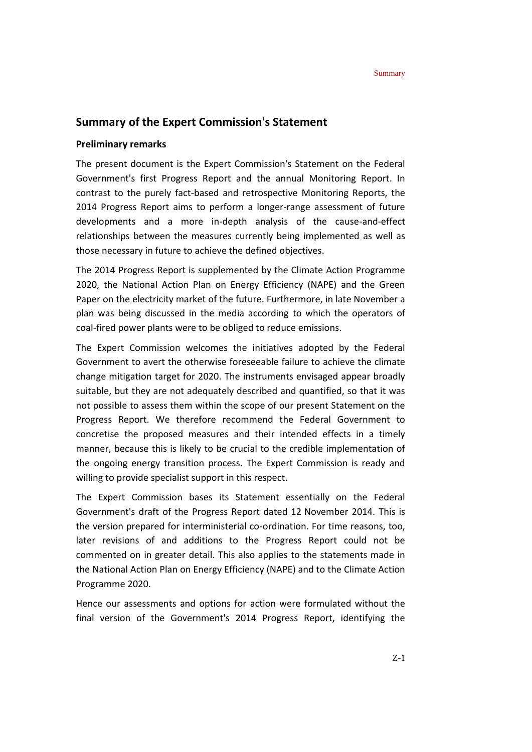#### **Summary of the Expert Commission's Statement**

#### **Preliminary remarks**

The present document is the Expert Commission's Statement on the Federal Government's first Progress Report and the annual Monitoring Report. In contrast to the purely fact-based and retrospective Monitoring Reports, the 2014 Progress Report aims to perform a longer-range assessment of future developments and a more in-depth analysis of the cause-and-effect relationships between the measures currently being implemented as well as those necessary in future to achieve the defined objectives.

The 2014 Progress Report is supplemented by the Climate Action Programme 2020, the National Action Plan on Energy Efficiency (NAPE) and the Green Paper on the electricity market of the future. Furthermore, in late November a plan was being discussed in the media according to which the operators of coal-fired power plants were to be obliged to reduce emissions.

The Expert Commission welcomes the initiatives adopted by the Federal Government to avert the otherwise foreseeable failure to achieve the climate change mitigation target for 2020. The instruments envisaged appear broadly suitable, but they are not adequately described and quantified, so that it was not possible to assess them within the scope of our present Statement on the Progress Report. We therefore recommend the Federal Government to concretise the proposed measures and their intended effects in a timely manner, because this is likely to be crucial to the credible implementation of the ongoing energy transition process. The Expert Commission is ready and willing to provide specialist support in this respect.

The Expert Commission bases its Statement essentially on the Federal Government's draft of the Progress Report dated 12 November 2014. This is the version prepared for interministerial co-ordination. For time reasons, too, later revisions of and additions to the Progress Report could not be commented on in greater detail. This also applies to the statements made in the National Action Plan on Energy Efficiency (NAPE) and to the Climate Action Programme 2020.

Hence our assessments and options for action were formulated without the final version of the Government's 2014 Progress Report, identifying the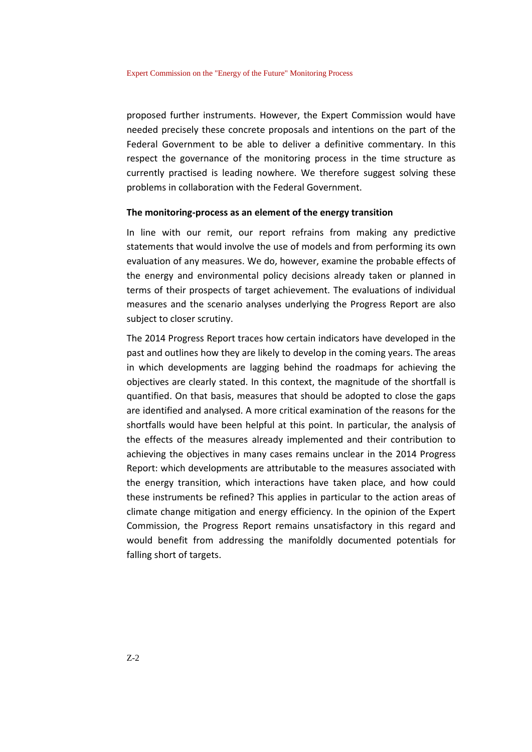proposed further instruments. However, the Expert Commission would have needed precisely these concrete proposals and intentions on the part of the Federal Government to be able to deliver a definitive commentary. In this respect the governance of the monitoring process in the time structure as currently practised is leading nowhere. We therefore suggest solving these problems in collaboration with the Federal Government.

#### **The monitoring-process as an element of the energy transition**

In line with our remit, our report refrains from making any predictive statements that would involve the use of models and from performing its own evaluation of any measures. We do, however, examine the probable effects of the energy and environmental policy decisions already taken or planned in terms of their prospects of target achievement. The evaluations of individual measures and the scenario analyses underlying the Progress Report are also subject to closer scrutiny.

The 2014 Progress Report traces how certain indicators have developed in the past and outlines how they are likely to develop in the coming years. The areas in which developments are lagging behind the roadmaps for achieving the objectives are clearly stated. In this context, the magnitude of the shortfall is quantified. On that basis, measures that should be adopted to close the gaps are identified and analysed. A more critical examination of the reasons for the shortfalls would have been helpful at this point. In particular, the analysis of the effects of the measures already implemented and their contribution to achieving the objectives in many cases remains unclear in the 2014 Progress Report: which developments are attributable to the measures associated with the energy transition, which interactions have taken place, and how could these instruments be refined? This applies in particular to the action areas of climate change mitigation and energy efficiency. In the opinion of the Expert Commission, the Progress Report remains unsatisfactory in this regard and would benefit from addressing the manifoldly documented potentials for falling short of targets.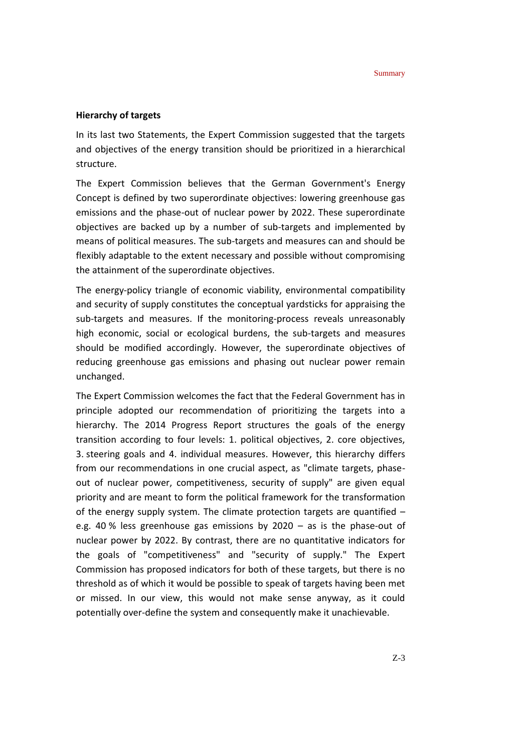#### **Hierarchy of targets**

In its last two Statements, the Expert Commission suggested that the targets and objectives of the energy transition should be prioritized in a hierarchical structure.

The Expert Commission believes that the German Government's Energy Concept is defined by two superordinate objectives: lowering greenhouse gas emissions and the phase-out of nuclear power by 2022. These superordinate objectives are backed up by a number of sub-targets and implemented by means of political measures. The sub-targets and measures can and should be flexibly adaptable to the extent necessary and possible without compromising the attainment of the superordinate objectives.

The energy-policy triangle of economic viability, environmental compatibility and security of supply constitutes the conceptual yardsticks for appraising the sub-targets and measures. If the monitoring-process reveals unreasonably high economic, social or ecological burdens, the sub-targets and measures should be modified accordingly. However, the superordinate objectives of reducing greenhouse gas emissions and phasing out nuclear power remain unchanged.

The Expert Commission welcomes the fact that the Federal Government has in principle adopted our recommendation of prioritizing the targets into a hierarchy. The 2014 Progress Report structures the goals of the energy transition according to four levels: 1. political objectives, 2. core objectives, 3. steering goals and 4. individual measures. However, this hierarchy differs from our recommendations in one crucial aspect, as "climate targets, phaseout of nuclear power, competitiveness, security of supply" are given equal priority and are meant to form the political framework for the transformation of the energy supply system. The climate protection targets are quantified – e.g. 40 % less greenhouse gas emissions by 2020 – as is the phase-out of nuclear power by 2022. By contrast, there are no quantitative indicators for the goals of "competitiveness" and "security of supply." The Expert Commission has proposed indicators for both of these targets, but there is no threshold as of which it would be possible to speak of targets having been met or missed. In our view, this would not make sense anyway, as it could potentially over-define the system and consequently make it unachievable.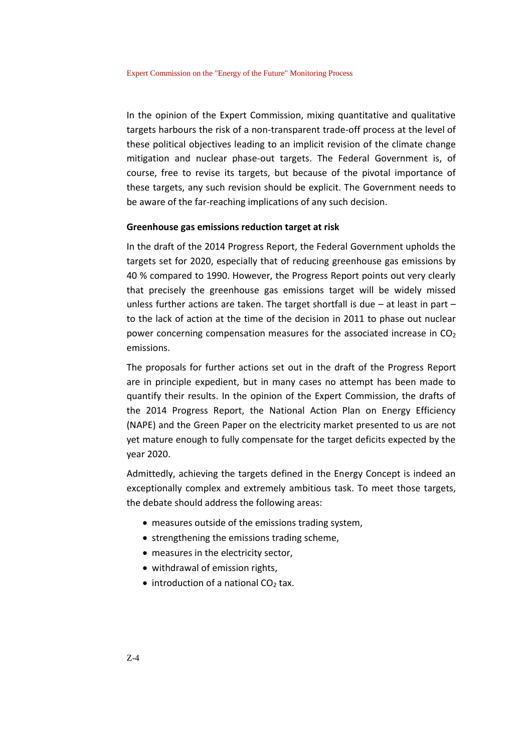In the opinion of the Expert Commission, mixing quantitative and qualitative targets harbours the risk of a non-transparent trade-off process at the level of these political objectives leading to an implicit revision of the climate change mitigation and nuclear phase-out targets. The Federal Government is, of course, free to revise its targets, but because of the pivotal importance of these targets, any such revision should be explicit. The Government needs to be aware of the far-reaching implications of any such decision.

#### **Greenhouse gas emissions reduction target at risk**

In the draft of the 2014 Progress Report, the Federal Government upholds the targets set for 2020, especially that of reducing greenhouse gas emissions by 40 % compared to 1990. However, the Progress Report points out very clearly that precisely the greenhouse gas emissions target will be widely missed unless further actions are taken. The target shortfall is due – at least in part – to the lack of action at the time of the decision in 2011 to phase out nuclear power concerning compensation measures for the associated increase in  $CO<sub>2</sub>$ emissions.

The proposals for further actions set out in the draft of the Progress Report are in principle expedient, but in many cases no attempt has been made to quantify their results. In the opinion of the Expert Commission, the drafts of the 2014 Progress Report, the National Action Plan on Energy Efficiency (NAPE) and the Green Paper on the electricity market presented to us are not yet mature enough to fully compensate for the target deficits expected by the year 2020.

Admittedly, achieving the targets defined in the Energy Concept is indeed an exceptionally complex and extremely ambitious task. To meet those targets, the debate should address the following areas:

- measures outside of the emissions trading system,
- strengthening the emissions trading scheme,
- measures in the electricity sector,
- withdrawal of emission rights,
- $\bullet$  introduction of a national CO<sub>2</sub> tax.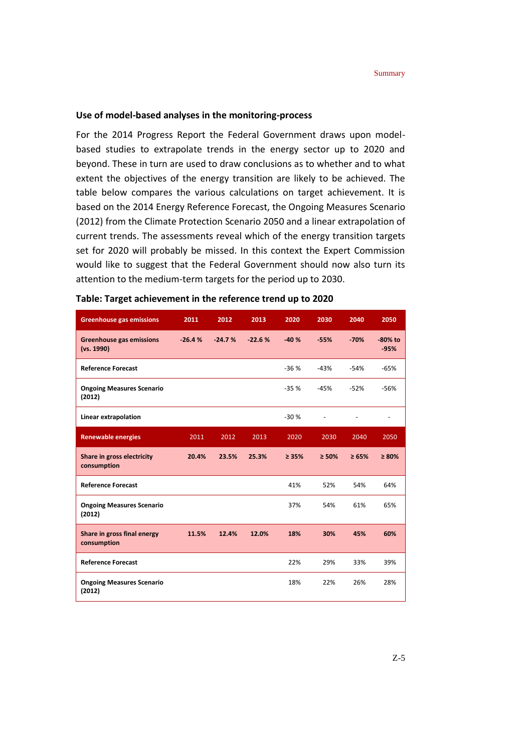#### **Use of model-based analyses in the monitoring-process**

For the 2014 Progress Report the Federal Government draws upon modelbased studies to extrapolate trends in the energy sector up to 2020 and beyond. These in turn are used to draw conclusions as to whether and to what extent the objectives of the energy transition are likely to be achieved. The table below compares the various calculations on target achievement. It is based on the 2014 Energy Reference Forecast, the Ongoing Measures Scenario (2012) from the Climate Protection Scenario 2050 and a linear extrapolation of current trends. The assessments reveal which of the energy transition targets set for 2020 will probably be missed. In this context the Expert Commission would like to suggest that the Federal Government should now also turn its attention to the medium-term targets for the period up to 2030.

| <b>Greenhouse gas emissions</b>               | 2011     | 2012     | 2013     | 2020        | 2030   | 2040       | 2050                 |
|-----------------------------------------------|----------|----------|----------|-------------|--------|------------|----------------------|
| <b>Greenhouse gas emissions</b><br>(vs. 1990) | $-26.4%$ | $-24.7%$ | $-22.6%$ | $-40%$      | $-55%$ | $-70%$     | $-80\%$ to<br>$-95%$ |
| <b>Reference Forecast</b>                     |          |          |          | $-36%$      | $-43%$ | $-54%$     | $-65%$               |
| <b>Ongoing Measures Scenario</b><br>(2012)    |          |          |          | $-35%$      | $-45%$ | $-52%$     | $-56%$               |
| Linear extrapolation                          |          |          |          | $-30%$      |        |            |                      |
| <b>Renewable energies</b>                     | 2011     | 2012     | 2013     | 2020        | 2030   | 2040       | 2050                 |
| Share in gross electricity<br>consumption     | 20.4%    | 23.5%    | 25.3%    | $\geq 35\%$ | > 50%  | $\ge 65\%$ | $\geq 80\%$          |
| <b>Reference Forecast</b>                     |          |          |          | 41%         | 52%    | 54%        | 64%                  |
| <b>Ongoing Measures Scenario</b><br>(2012)    |          |          |          | 37%         | 54%    | 61%        | 65%                  |
| Share in gross final energy<br>consumption    | 11.5%    | 12.4%    | 12.0%    | 18%         | 30%    | 45%        | 60%                  |
| <b>Reference Forecast</b>                     |          |          |          | 22%         | 29%    | 33%        | 39%                  |
| <b>Ongoing Measures Scenario</b><br>(2012)    |          |          |          | 18%         | 22%    | 26%        | 28%                  |

| Table: Target achievement in the reference trend up to 2020 |  |  |  |  |
|-------------------------------------------------------------|--|--|--|--|
|-------------------------------------------------------------|--|--|--|--|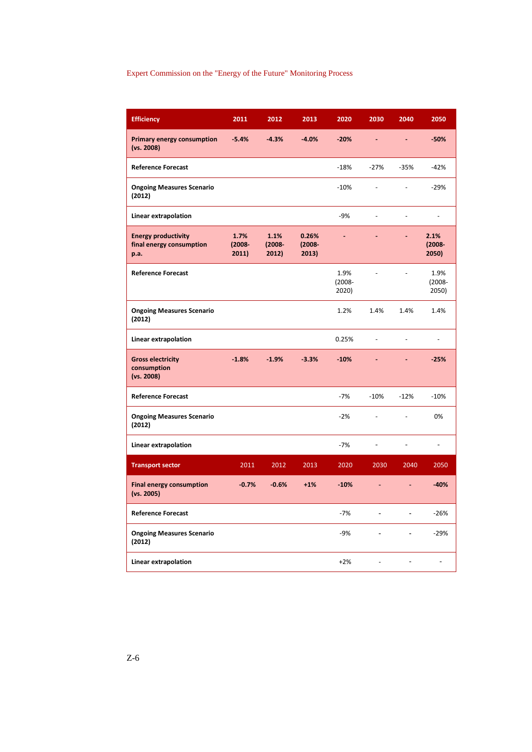#### Expert Commission on the "Energy of the Future" Monitoring Process

| <b>Efficiency</b>                                              | 2011                       | 2012                       | 2013                        | 2020                       | 2030           | 2040           | 2050                         |
|----------------------------------------------------------------|----------------------------|----------------------------|-----------------------------|----------------------------|----------------|----------------|------------------------------|
| <b>Primary energy consumption</b><br>(vs. 2008)                | $-5.4%$                    | $-4.3%$                    | $-4.0%$                     | $-20%$                     |                |                | $-50%$                       |
| <b>Reference Forecast</b>                                      |                            |                            |                             | $-18%$                     | $-27%$         | $-35%$         | $-42%$                       |
| <b>Ongoing Measures Scenario</b><br>(2012)                     |                            |                            |                             | $-10%$                     | L,             | $\overline{a}$ | $-29%$                       |
| Linear extrapolation                                           |                            |                            |                             | $-9%$                      | L,             | ÷,             | $\frac{1}{2}$                |
| <b>Energy productivity</b><br>final energy consumption<br>p.a. | 1.7%<br>$(2008 -$<br>2011) | 1.1%<br>$(2008 -$<br>2012) | 0.26%<br>$(2008 -$<br>2013) | L,                         |                | L,             | 2.1%<br>$(2008 -$<br>2050)   |
| <b>Reference Forecast</b>                                      |                            |                            |                             | 1.9%<br>$(2008 -$<br>2020) | $\overline{a}$ | $\frac{1}{2}$  | 1.9%<br>$(2008 -$<br>2050)   |
| <b>Ongoing Measures Scenario</b><br>(2012)                     |                            |                            |                             | 1.2%                       | 1.4%           | 1.4%           | 1.4%                         |
| Linear extrapolation                                           |                            |                            |                             | 0.25%                      | ÷,             | ÷,             | $\qquad \qquad \blacksquare$ |
| <b>Gross electricity</b><br>consumption<br>(vs. 2008)          | $-1.8%$                    | $-1.9%$                    | $-3.3%$                     | $-10%$                     |                |                | $-25%$                       |
| <b>Reference Forecast</b>                                      |                            |                            |                             | $-7%$                      | $-10%$         | $-12%$         | $-10%$                       |
| <b>Ongoing Measures Scenario</b><br>(2012)                     |                            |                            |                             | $-2%$                      | $\frac{1}{2}$  | $\overline{a}$ | 0%                           |
| Linear extrapolation                                           |                            |                            |                             | $-7%$                      | $\frac{1}{2}$  | $\overline{a}$ | $\overline{\phantom{a}}$     |
| <b>Transport sector</b>                                        | 2011                       | 2012                       | 2013                        | 2020                       | 2030           | 2040           | 2050                         |
| <b>Final energy consumption</b><br>(vs. 2005)                  | $-0.7%$                    | $-0.6%$                    | $+1%$                       | $-10%$                     | ٠              | L              | $-40%$                       |
| <b>Reference Forecast</b>                                      |                            |                            |                             | $-7%$                      | $\blacksquare$ | $\overline{a}$ | $-26%$                       |
| <b>Ongoing Measures Scenario</b><br>(2012)                     |                            |                            |                             | $-9%$                      | $\blacksquare$ | ÷              | $-29%$                       |
| Linear extrapolation                                           |                            |                            |                             | $+2%$                      | ÷,             | $\overline{a}$ |                              |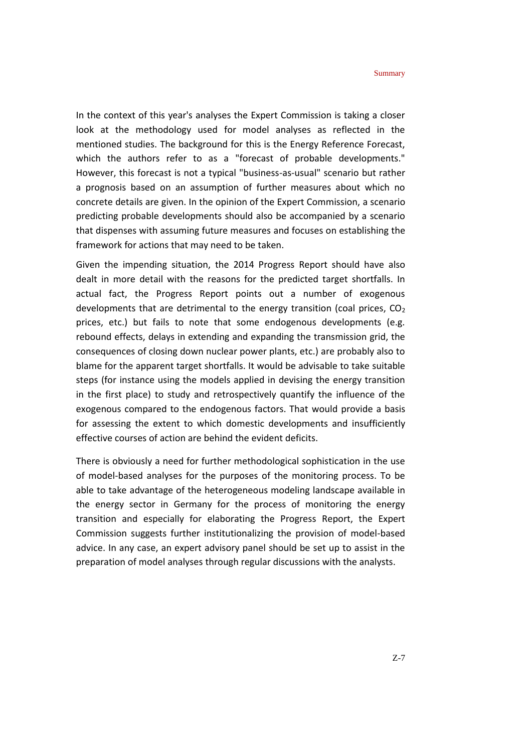In the context of this year's analyses the Expert Commission is taking a closer look at the methodology used for model analyses as reflected in the mentioned studies. The background for this is the Energy Reference Forecast, which the authors refer to as a "forecast of probable developments." However, this forecast is not a typical "business-as-usual" scenario but rather a prognosis based on an assumption of further measures about which no concrete details are given. In the opinion of the Expert Commission, a scenario predicting probable developments should also be accompanied by a scenario that dispenses with assuming future measures and focuses on establishing the framework for actions that may need to be taken.

Given the impending situation, the 2014 Progress Report should have also dealt in more detail with the reasons for the predicted target shortfalls. In actual fact, the Progress Report points out a number of exogenous developments that are detrimental to the energy transition (coal prices,  $CO<sub>2</sub>$ prices, etc.) but fails to note that some endogenous developments (e.g. rebound effects, delays in extending and expanding the transmission grid, the consequences of closing down nuclear power plants, etc.) are probably also to blame for the apparent target shortfalls. It would be advisable to take suitable steps (for instance using the models applied in devising the energy transition in the first place) to study and retrospectively quantify the influence of the exogenous compared to the endogenous factors. That would provide a basis for assessing the extent to which domestic developments and insufficiently effective courses of action are behind the evident deficits.

There is obviously a need for further methodological sophistication in the use of model-based analyses for the purposes of the monitoring process. To be able to take advantage of the heterogeneous modeling landscape available in the energy sector in Germany for the process of monitoring the energy transition and especially for elaborating the Progress Report, the Expert Commission suggests further institutionalizing the provision of model-based advice. In any case, an expert advisory panel should be set up to assist in the preparation of model analyses through regular discussions with the analysts.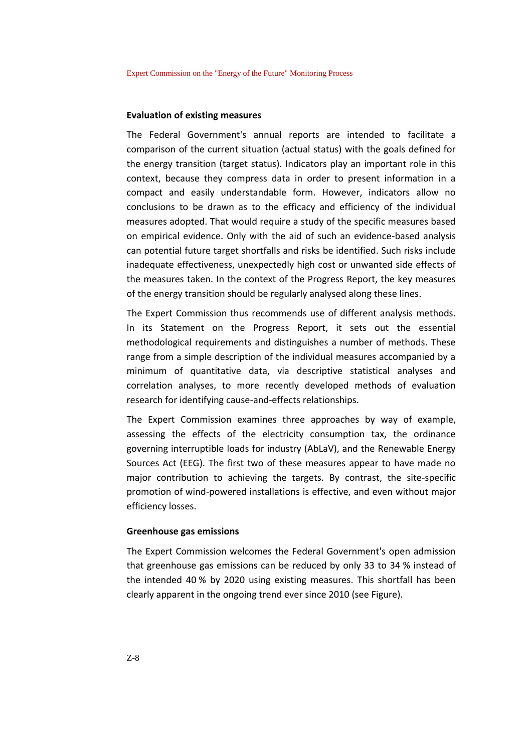#### **Evaluation of existing measures**

The Federal Government's annual reports are intended to facilitate a comparison of the current situation (actual status) with the goals defined for the energy transition (target status). Indicators play an important role in this context, because they compress data in order to present information in a compact and easily understandable form. However, indicators allow no conclusions to be drawn as to the efficacy and efficiency of the individual measures adopted. That would require a study of the specific measures based on empirical evidence. Only with the aid of such an evidence-based analysis can potential future target shortfalls and risks be identified. Such risks include inadequate effectiveness, unexpectedly high cost or unwanted side effects of the measures taken. In the context of the Progress Report, the key measures of the energy transition should be regularly analysed along these lines.

The Expert Commission thus recommends use of different analysis methods. In its Statement on the Progress Report, it sets out the essential methodological requirements and distinguishes a number of methods. These range from a simple description of the individual measures accompanied by a minimum of quantitative data, via descriptive statistical analyses and correlation analyses, to more recently developed methods of evaluation research for identifying cause-and-effects relationships.

The Expert Commission examines three approaches by way of example, assessing the effects of the electricity consumption tax, the ordinance governing interruptible loads for industry (AbLaV), and the Renewable Energy Sources Act (EEG). The first two of these measures appear to have made no major contribution to achieving the targets. By contrast, the site-specific promotion of wind-powered installations is effective, and even without major efficiency losses.

#### **Greenhouse gas emissions**

The Expert Commission welcomes the Federal Government's open admission that greenhouse gas emissions can be reduced by only 33 to 34 % instead of the intended 40 % by 2020 using existing measures. This shortfall has been clearly apparent in the ongoing trend ever since 2010 (see Figure).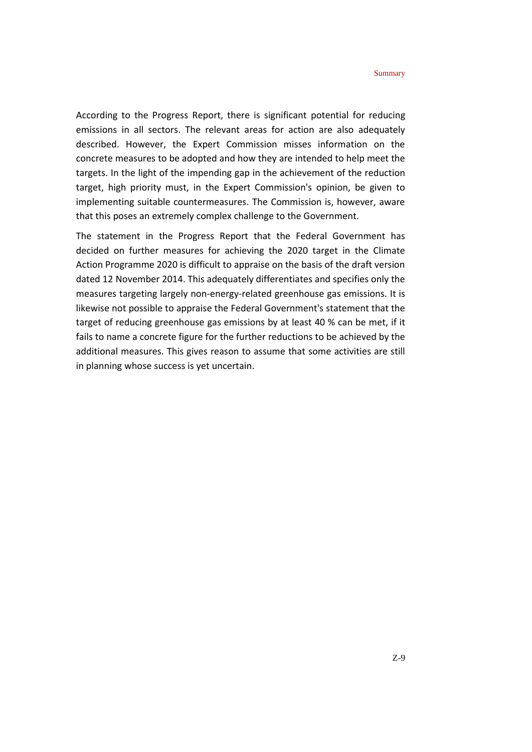According to the Progress Report, there is significant potential for reducing emissions in all sectors. The relevant areas for action are also adequately described. However, the Expert Commission misses information on the concrete measures to be adopted and how they are intended to help meet the targets. In the light of the impending gap in the achievement of the reduction target, high priority must, in the Expert Commission's opinion, be given to implementing suitable countermeasures. The Commission is, however, aware that this poses an extremely complex challenge to the Government.

The statement in the Progress Report that the Federal Government has decided on further measures for achieving the 2020 target in the Climate Action Programme 2020 is difficult to appraise on the basis of the draft version dated 12 November 2014. This adequately differentiates and specifies only the measures targeting largely non-energy-related greenhouse gas emissions. It is likewise not possible to appraise the Federal Government's statement that the target of reducing greenhouse gas emissions by at least 40 % can be met, if it fails to name a concrete figure for the further reductions to be achieved by the additional measures. This gives reason to assume that some activities are still in planning whose success is yet uncertain.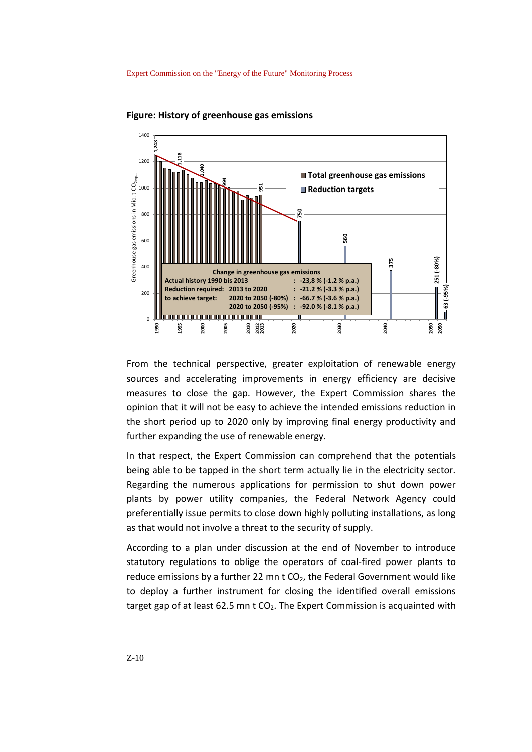

**Figure: History of greenhouse gas emissions** 

From the technical perspective, greater exploitation of renewable energy sources and accelerating improvements in energy efficiency are decisive measures to close the gap. However, the Expert Commission shares the opinion that it will not be easy to achieve the intended emissions reduction in the short period up to 2020 only by improving final energy productivity and further expanding the use of renewable energy.

In that respect, the Expert Commission can comprehend that the potentials being able to be tapped in the short term actually lie in the electricity sector. Regarding the numerous applications for permission to shut down power plants by power utility companies, the Federal Network Agency could preferentially issue permits to close down highly polluting installations, as long as that would not involve a threat to the security of supply.

According to a plan under discussion at the end of November to introduce statutory regulations to oblige the operators of coal-fired power plants to reduce emissions by a further 22 mn  $t$  CO<sub>2</sub>, the Federal Government would like to deploy a further instrument for closing the identified overall emissions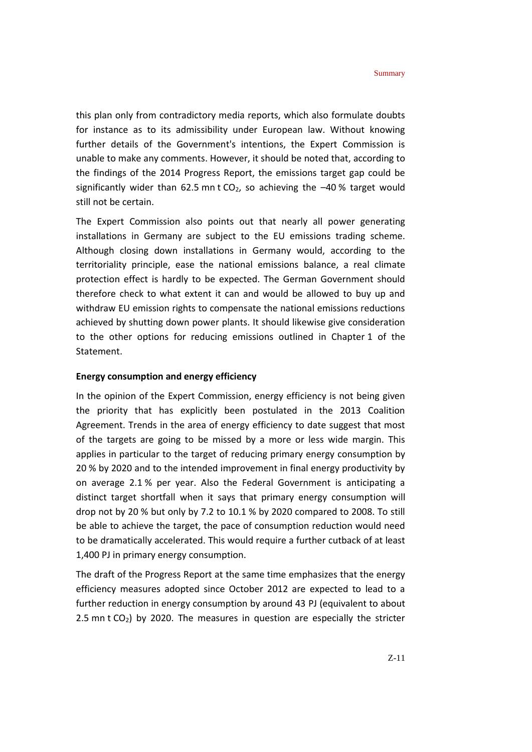this plan only from contradictory media reports, which also formulate doubts for instance as to its admissibility under European law. Without knowing further details of the Government's intentions, the Expert Commission is unable to make any comments. However, it should be noted that, according to the findings of the 2014 Progress Report, the emissions target gap could be significantly wider than 62.5 mn t  $CO<sub>2</sub>$ , so achieving the  $-40$ % target would still not be certain.

The Expert Commission also points out that nearly all power generating installations in Germany are subject to the EU emissions trading scheme. Although closing down installations in Germany would, according to the territoriality principle, ease the national emissions balance, a real climate protection effect is hardly to be expected. The German Government should therefore check to what extent it can and would be allowed to buy up and withdraw EU emission rights to compensate the national emissions reductions achieved by shutting down power plants. It should likewise give consideration to the other options for reducing emissions outlined in Chapter 1 of the Statement.

#### **Energy consumption and energy efficiency**

In the opinion of the Expert Commission, energy efficiency is not being given the priority that has explicitly been postulated in the 2013 Coalition Agreement. Trends in the area of energy efficiency to date suggest that most of the targets are going to be missed by a more or less wide margin. This applies in particular to the target of reducing primary energy consumption by 20 % by 2020 and to the intended improvement in final energy productivity by on average 2.1 % per year. Also the Federal Government is anticipating a distinct target shortfall when it says that primary energy consumption will drop not by 20 % but only by 7.2 to 10.1 % by 2020 compared to 2008. To still be able to achieve the target, the pace of consumption reduction would need to be dramatically accelerated. This would require a further cutback of at least 1,400 PJ in primary energy consumption.

The draft of the Progress Report at the same time emphasizes that the energy efficiency measures adopted since October 2012 are expected to lead to a further reduction in energy consumption by around 43 PJ (equivalent to about 2.5 mn t  $CO<sub>2</sub>$ ) by 2020. The measures in question are especially the stricter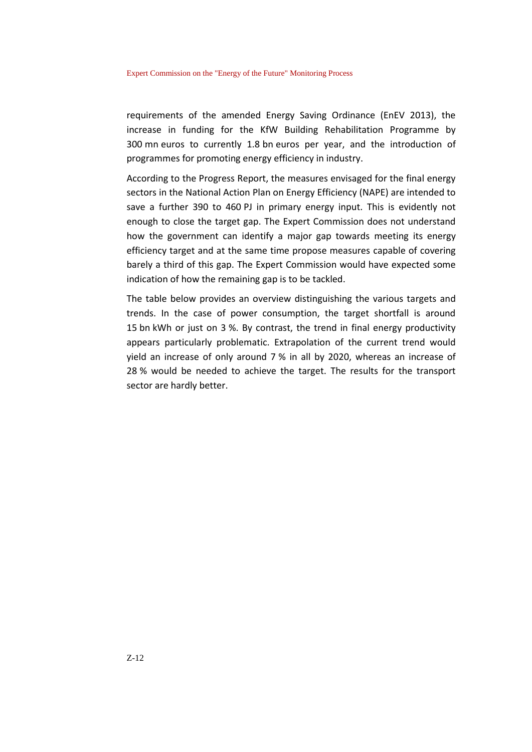requirements of the amended Energy Saving Ordinance (EnEV 2013), the increase in funding for the KfW Building Rehabilitation Programme by 300 mn euros to currently 1.8 bn euros per year, and the introduction of programmes for promoting energy efficiency in industry.

According to the Progress Report, the measures envisaged for the final energy sectors in the National Action Plan on Energy Efficiency (NAPE) are intended to save a further 390 to 460 PJ in primary energy input. This is evidently not enough to close the target gap. The Expert Commission does not understand how the government can identify a major gap towards meeting its energy efficiency target and at the same time propose measures capable of covering barely a third of this gap. The Expert Commission would have expected some indication of how the remaining gap is to be tackled.

The table below provides an overview distinguishing the various targets and trends. In the case of power consumption, the target shortfall is around 15 bn kWh or just on 3 %. By contrast, the trend in final energy productivity appears particularly problematic. Extrapolation of the current trend would yield an increase of only around 7 % in all by 2020, whereas an increase of 28 % would be needed to achieve the target. The results for the transport sector are hardly better.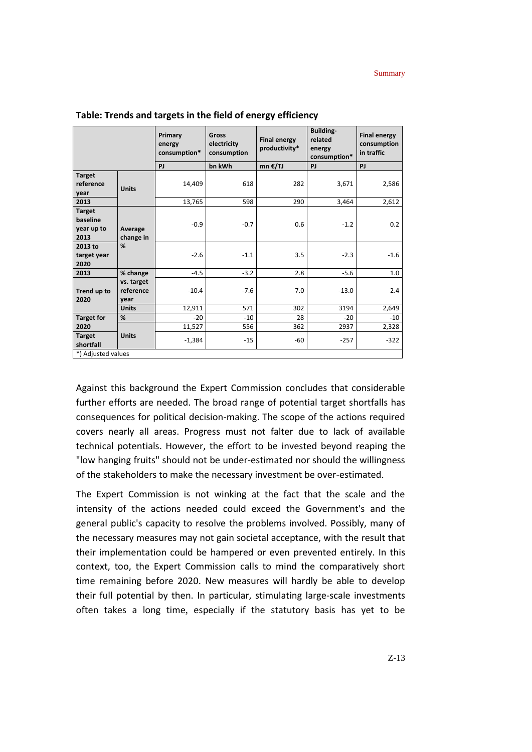|                                                 |                                 | Primary<br>energy<br>consumption* | Gross<br>electricity<br>consumption | <b>Final energy</b><br>productivity* | <b>Building-</b><br>related<br>energy<br>consumption* | <b>Final energy</b><br>consumption<br>in traffic |  |
|-------------------------------------------------|---------------------------------|-----------------------------------|-------------------------------------|--------------------------------------|-------------------------------------------------------|--------------------------------------------------|--|
|                                                 |                                 | PJ                                | bn kWh                              | mn €/TJ                              | PJ                                                    | PJ                                               |  |
| <b>Target</b><br>reference<br>year              | <b>Units</b>                    | 14,409                            | 618                                 | 282                                  | 3,671                                                 | 2,586                                            |  |
| 2013                                            |                                 | 13,765                            | 598                                 | 290                                  | 3,464                                                 | 2,612                                            |  |
| <b>Target</b><br>baseline<br>year up to<br>2013 | Average<br>change in            | $-0.9$                            | $-0.7$                              | 0.6                                  | $-1.2$                                                | 0.2                                              |  |
| 2013 to<br>target year<br>2020                  | %                               | $-2.6$                            | $-1.1$                              | 3.5                                  | $-2.3$                                                | $-1.6$                                           |  |
| 2013                                            | % change                        | $-4.5$                            | $-3.2$                              | 2.8                                  | $-5.6$                                                | 1.0                                              |  |
| Trend up to<br>2020                             | vs. target<br>reference<br>year | $-10.4$                           | $-7.6$                              | 7.0                                  | $-13.0$                                               | 2.4                                              |  |
|                                                 | <b>Units</b>                    | 12,911                            | 571                                 | 302                                  | 3194                                                  | 2,649                                            |  |
| <b>Target for</b>                               | %                               | $-20$                             | $-10$                               | 28                                   | $-20$                                                 | $-10$                                            |  |
| 2020                                            |                                 | 11,527                            | 556                                 | 362                                  | 2937                                                  | 2,328                                            |  |
| <b>Target</b><br>shortfall                      | <b>Units</b>                    | $-1,384$                          | $-15$                               | -60                                  | $-257$                                                | $-322$                                           |  |
| *) Adjusted values                              |                                 |                                   |                                     |                                      |                                                       |                                                  |  |

**Table: Trends and targets in the field of energy efficiency**

Against this background the Expert Commission concludes that considerable further efforts are needed. The broad range of potential target shortfalls has consequences for political decision-making. The scope of the actions required covers nearly all areas. Progress must not falter due to lack of available technical potentials. However, the effort to be invested beyond reaping the "low hanging fruits" should not be under-estimated nor should the willingness of the stakeholders to make the necessary investment be over-estimated.

The Expert Commission is not winking at the fact that the scale and the intensity of the actions needed could exceed the Government's and the general public's capacity to resolve the problems involved. Possibly, many of the necessary measures may not gain societal acceptance, with the result that their implementation could be hampered or even prevented entirely. In this context, too, the Expert Commission calls to mind the comparatively short time remaining before 2020. New measures will hardly be able to develop their full potential by then. In particular, stimulating large-scale investments often takes a long time, especially if the statutory basis has yet to be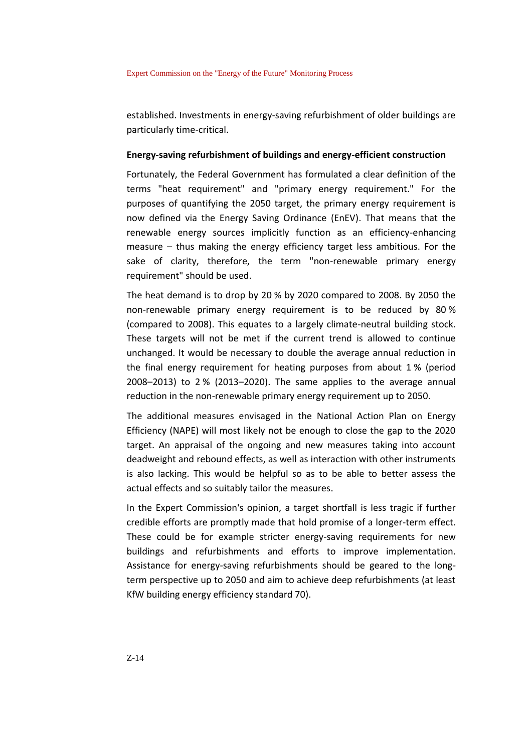#### Expert Commission on the "Energy of the Future" Monitoring Process

established. Investments in energy-saving refurbishment of older buildings are particularly time-critical.

#### **Energy-saving refurbishment of buildings and energy-efficient construction**

Fortunately, the Federal Government has formulated a clear definition of the terms "heat requirement" and "primary energy requirement." For the purposes of quantifying the 2050 target, the primary energy requirement is now defined via the Energy Saving Ordinance (EnEV). That means that the renewable energy sources implicitly function as an efficiency-enhancing measure – thus making the energy efficiency target less ambitious. For the sake of clarity, therefore, the term "non-renewable primary energy requirement" should be used.

The heat demand is to drop by 20 % by 2020 compared to 2008. By 2050 the non-renewable primary energy requirement is to be reduced by 80 % (compared to 2008). This equates to a largely climate-neutral building stock. These targets will not be met if the current trend is allowed to continue unchanged. It would be necessary to double the average annual reduction in the final energy requirement for heating purposes from about 1 % (period 2008–2013) to 2 % (2013–2020). The same applies to the average annual reduction in the non-renewable primary energy requirement up to 2050.

The additional measures envisaged in the National Action Plan on Energy Efficiency (NAPE) will most likely not be enough to close the gap to the 2020 target. An appraisal of the ongoing and new measures taking into account deadweight and rebound effects, as well as interaction with other instruments is also lacking. This would be helpful so as to be able to better assess the actual effects and so suitably tailor the measures.

In the Expert Commission's opinion, a target shortfall is less tragic if further credible efforts are promptly made that hold promise of a longer-term effect. These could be for example stricter energy-saving requirements for new buildings and refurbishments and efforts to improve implementation. Assistance for energy-saving refurbishments should be geared to the longterm perspective up to 2050 and aim to achieve deep refurbishments (at least KfW building energy efficiency standard 70).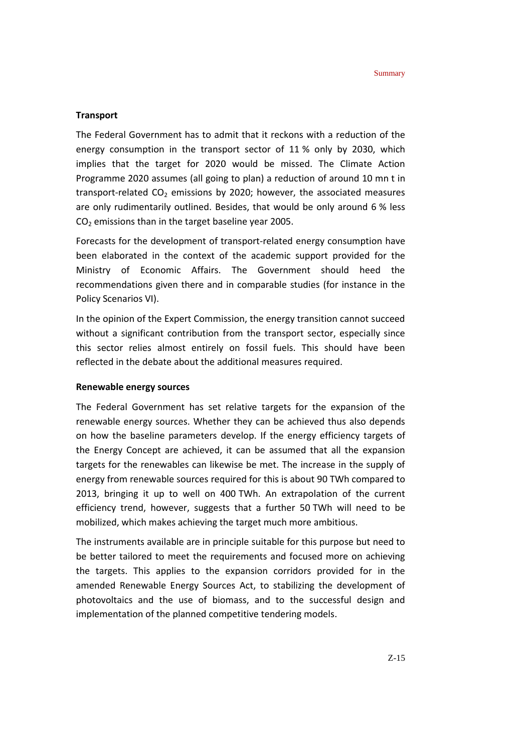#### **Transport**

The Federal Government has to admit that it reckons with a reduction of the energy consumption in the transport sector of 11 % only by 2030, which implies that the target for 2020 would be missed. The Climate Action Programme 2020 assumes (all going to plan) a reduction of around 10 mn t in transport-related  $CO<sub>2</sub>$  emissions by 2020; however, the associated measures are only rudimentarily outlined. Besides, that would be only around 6 % less CO<sup>2</sup> emissions than in the target baseline year 2005.

Forecasts for the development of transport-related energy consumption have been elaborated in the context of the academic support provided for the Ministry of Economic Affairs. The Government should heed the recommendations given there and in comparable studies (for instance in the Policy Scenarios VI).

In the opinion of the Expert Commission, the energy transition cannot succeed without a significant contribution from the transport sector, especially since this sector relies almost entirely on fossil fuels. This should have been reflected in the debate about the additional measures required.

#### **Renewable energy sources**

The Federal Government has set relative targets for the expansion of the renewable energy sources. Whether they can be achieved thus also depends on how the baseline parameters develop. If the energy efficiency targets of the Energy Concept are achieved, it can be assumed that all the expansion targets for the renewables can likewise be met. The increase in the supply of energy from renewable sources required for this is about 90 TWh compared to 2013, bringing it up to well on 400 TWh. An extrapolation of the current efficiency trend, however, suggests that a further 50 TWh will need to be mobilized, which makes achieving the target much more ambitious.

The instruments available are in principle suitable for this purpose but need to be better tailored to meet the requirements and focused more on achieving the targets. This applies to the expansion corridors provided for in the amended Renewable Energy Sources Act, to stabilizing the development of photovoltaics and the use of biomass, and to the successful design and implementation of the planned competitive tendering models.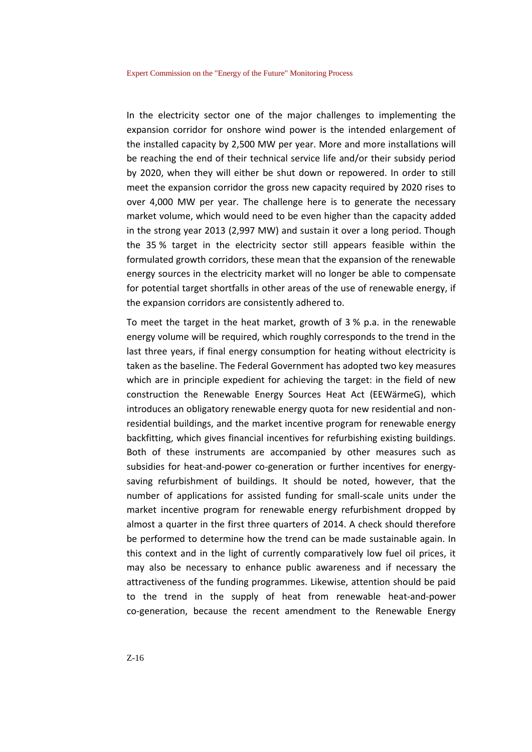In the electricity sector one of the major challenges to implementing the expansion corridor for onshore wind power is the intended enlargement of the installed capacity by 2,500 MW per year. More and more installations will be reaching the end of their technical service life and/or their subsidy period by 2020, when they will either be shut down or repowered. In order to still meet the expansion corridor the gross new capacity required by 2020 rises to over 4,000 MW per year. The challenge here is to generate the necessary market volume, which would need to be even higher than the capacity added in the strong year 2013 (2,997 MW) and sustain it over a long period. Though the 35 % target in the electricity sector still appears feasible within the formulated growth corridors, these mean that the expansion of the renewable energy sources in the electricity market will no longer be able to compensate for potential target shortfalls in other areas of the use of renewable energy, if the expansion corridors are consistently adhered to.

To meet the target in the heat market, growth of 3 % p.a. in the renewable energy volume will be required, which roughly corresponds to the trend in the last three years, if final energy consumption for heating without electricity is taken as the baseline. The Federal Government has adopted two key measures which are in principle expedient for achieving the target: in the field of new construction the Renewable Energy Sources Heat Act (EEWärmeG), which introduces an obligatory renewable energy quota for new residential and nonresidential buildings, and the market incentive program for renewable energy backfitting, which gives financial incentives for refurbishing existing buildings. Both of these instruments are accompanied by other measures such as subsidies for heat-and-power co-generation or further incentives for energysaving refurbishment of buildings. It should be noted, however, that the number of applications for assisted funding for small-scale units under the market incentive program for renewable energy refurbishment dropped by almost a quarter in the first three quarters of 2014. A check should therefore be performed to determine how the trend can be made sustainable again. In this context and in the light of currently comparatively low fuel oil prices, it may also be necessary to enhance public awareness and if necessary the attractiveness of the funding programmes. Likewise, attention should be paid to the trend in the supply of heat from renewable heat-and-power co-generation, because the recent amendment to the Renewable Energy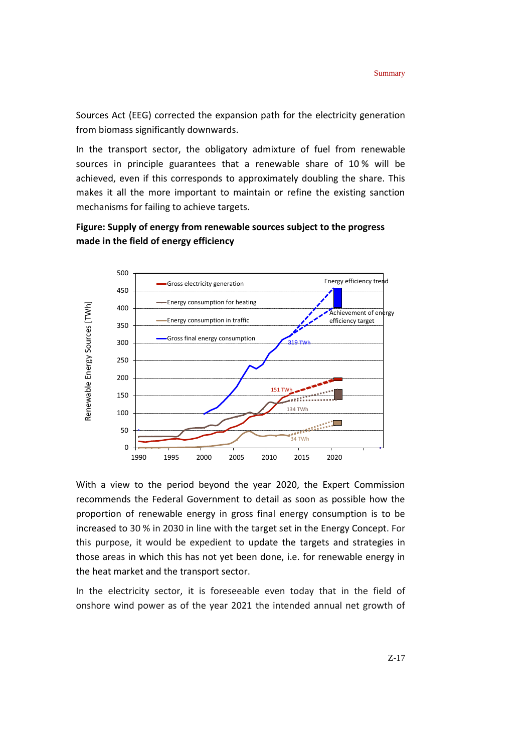Sources Act (EEG) corrected the expansion path for the electricity generation from biomass significantly downwards.

In the transport sector, the obligatory admixture of fuel from renewable sources in principle guarantees that a renewable share of 10 % will be achieved, even if this corresponds to approximately doubling the share. This makes it all the more important to maintain or refine the existing sanction mechanisms for failing to achieve targets.





With a view to the period beyond the year 2020, the Expert Commission recommends the Federal Government to detail as soon as possible how the proportion of renewable energy in gross final energy consumption is to be increased to 30 % in 2030 in line with the target set in the Energy Concept. For this purpose, it would be expedient to update the targets and strategies in those areas in which this has not yet been done, i.e. for renewable energy in the heat market and the transport sector.

In the electricity sector, it is foreseeable even today that in the field of onshore wind power as of the year 2021 the intended annual net growth of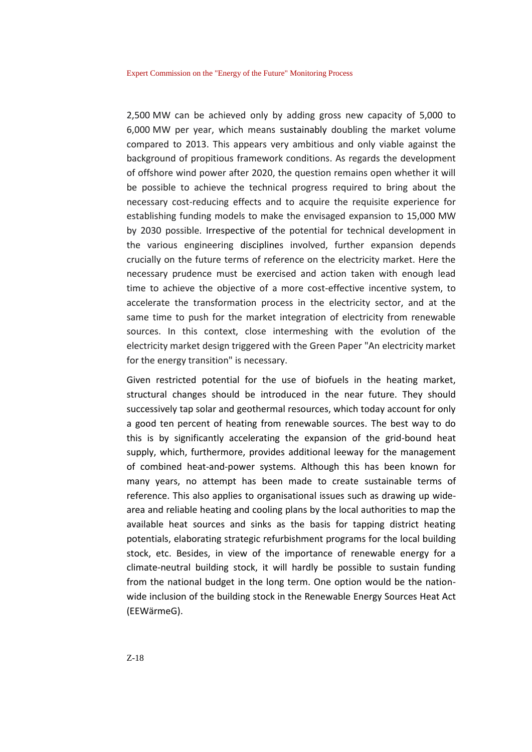2,500 MW can be achieved only by adding gross new capacity of 5,000 to 6,000 MW per year, which means sustainably doubling the market volume compared to 2013. This appears very ambitious and only viable against the background of propitious framework conditions. As regards the development of offshore wind power after 2020, the question remains open whether it will be possible to achieve the technical progress required to bring about the necessary cost-reducing effects and to acquire the requisite experience for establishing funding models to make the envisaged expansion to 15,000 MW by 2030 possible. Irrespective of the potential for technical development in the various engineering disciplines involved, further expansion depends crucially on the future terms of reference on the electricity market. Here the necessary prudence must be exercised and action taken with enough lead time to achieve the objective of a more cost-effective incentive system, to accelerate the transformation process in the electricity sector, and at the same time to push for the market integration of electricity from renewable sources. In this context, close intermeshing with the evolution of the electricity market design triggered with the Green Paper "An electricity market for the energy transition" is necessary.

Given restricted potential for the use of biofuels in the heating market, structural changes should be introduced in the near future. They should successively tap solar and geothermal resources, which today account for only a good ten percent of heating from renewable sources. The best way to do this is by significantly accelerating the expansion of the grid-bound heat supply, which, furthermore, provides additional leeway for the management of combined heat-and-power systems. Although this has been known for many years, no attempt has been made to create sustainable terms of reference. This also applies to organisational issues such as drawing up widearea and reliable heating and cooling plans by the local authorities to map the available heat sources and sinks as the basis for tapping district heating potentials, elaborating strategic refurbishment programs for the local building stock, etc. Besides, in view of the importance of renewable energy for a climate-neutral building stock, it will hardly be possible to sustain funding from the national budget in the long term. One option would be the nationwide inclusion of the building stock in the Renewable Energy Sources Heat Act (EEWärmeG).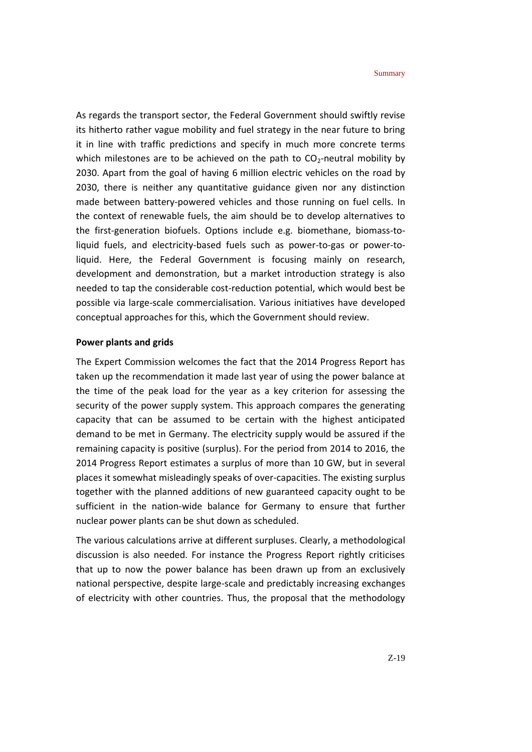As regards the transport sector, the Federal Government should swiftly revise its hitherto rather vague mobility and fuel strategy in the near future to bring it in line with traffic predictions and specify in much more concrete terms which milestones are to be achieved on the path to  $CO_2$ -neutral mobility by 2030. Apart from the goal of having 6 million electric vehicles on the road by 2030, there is neither any quantitative guidance given nor any distinction made between battery-powered vehicles and those running on fuel cells. In the context of renewable fuels, the aim should be to develop alternatives to the first-generation biofuels. Options include e.g. biomethane, biomass-toliquid fuels, and electricity-based fuels such as power-to-gas or power-toliquid. Here, the Federal Government is focusing mainly on research, development and demonstration, but a market introduction strategy is also needed to tap the considerable cost-reduction potential, which would best be possible via large-scale commercialisation. Various initiatives have developed conceptual approaches for this, which the Government should review.

#### **Power plants and grids**

The Expert Commission welcomes the fact that the 2014 Progress Report has taken up the recommendation it made last year of using the power balance at the time of the peak load for the year as a key criterion for assessing the security of the power supply system. This approach compares the generating capacity that can be assumed to be certain with the highest anticipated demand to be met in Germany. The electricity supply would be assured if the remaining capacity is positive (surplus). For the period from 2014 to 2016, the 2014 Progress Report estimates a surplus of more than 10 GW, but in several places it somewhat misleadingly speaks of over-capacities. The existing surplus together with the planned additions of new guaranteed capacity ought to be sufficient in the nation-wide balance for Germany to ensure that further nuclear power plants can be shut down as scheduled.

The various calculations arrive at different surpluses. Clearly, a methodological discussion is also needed. For instance the Progress Report rightly criticises that up to now the power balance has been drawn up from an exclusively national perspective, despite large-scale and predictably increasing exchanges of electricity with other countries. Thus, the proposal that the methodology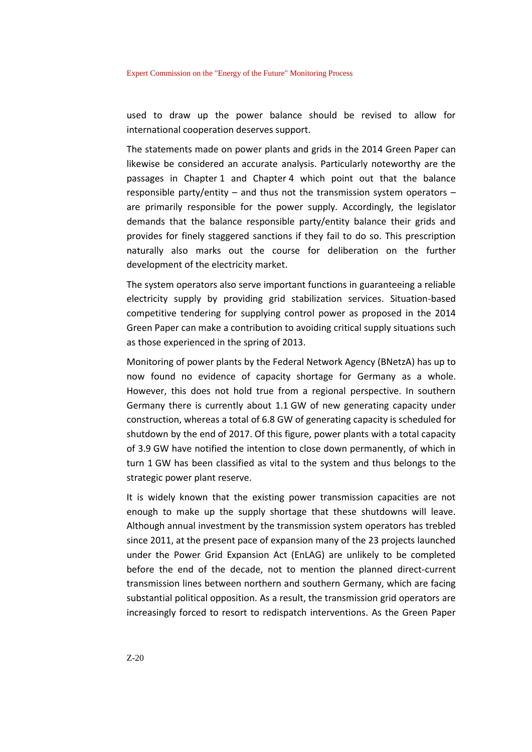Expert Commission on the "Energy of the Future" Monitoring Process

used to draw up the power balance should be revised to allow for international cooperation deserves support.

The statements made on power plants and grids in the 2014 Green Paper can likewise be considered an accurate analysis. Particularly noteworthy are the passages in Chapter 1 and Chapter 4 which point out that the balance responsible party/entity – and thus not the transmission system operators – are primarily responsible for the power supply. Accordingly, the legislator demands that the balance responsible party/entity balance their grids and provides for finely staggered sanctions if they fail to do so. This prescription naturally also marks out the course for deliberation on the further development of the electricity market.

The system operators also serve important functions in guaranteeing a reliable electricity supply by providing grid stabilization services. Situation-based competitive tendering for supplying control power as proposed in the 2014 Green Paper can make a contribution to avoiding critical supply situations such as those experienced in the spring of 2013.

Monitoring of power plants by the Federal Network Agency (BNetzA) has up to now found no evidence of capacity shortage for Germany as a whole. However, this does not hold true from a regional perspective. In southern Germany there is currently about 1.1 GW of new generating capacity under construction, whereas a total of 6.8 GW of generating capacity is scheduled for shutdown by the end of 2017. Of this figure, power plants with a total capacity of 3.9 GW have notified the intention to close down permanently, of which in turn 1 GW has been classified as vital to the system and thus belongs to the strategic power plant reserve.

It is widely known that the existing power transmission capacities are not enough to make up the supply shortage that these shutdowns will leave. Although annual investment by the transmission system operators has trebled since 2011, at the present pace of expansion many of the 23 projects launched under the Power Grid Expansion Act (EnLAG) are unlikely to be completed before the end of the decade, not to mention the planned direct-current transmission lines between northern and southern Germany, which are facing substantial political opposition. As a result, the transmission grid operators are increasingly forced to resort to redispatch interventions. As the Green Paper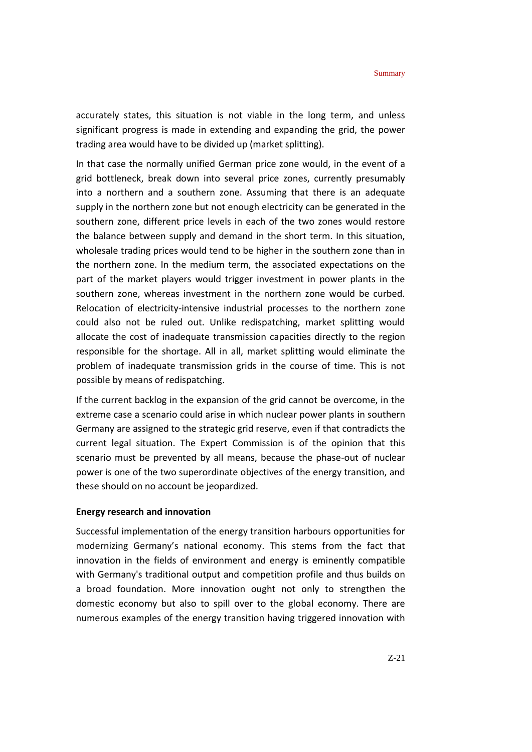accurately states, this situation is not viable in the long term, and unless significant progress is made in extending and expanding the grid, the power trading area would have to be divided up (market splitting).

In that case the normally unified German price zone would, in the event of a grid bottleneck, break down into several price zones, currently presumably into a northern and a southern zone. Assuming that there is an adequate supply in the northern zone but not enough electricity can be generated in the southern zone, different price levels in each of the two zones would restore the balance between supply and demand in the short term. In this situation, wholesale trading prices would tend to be higher in the southern zone than in the northern zone. In the medium term, the associated expectations on the part of the market players would trigger investment in power plants in the southern zone, whereas investment in the northern zone would be curbed. Relocation of electricity-intensive industrial processes to the northern zone could also not be ruled out. Unlike redispatching, market splitting would allocate the cost of inadequate transmission capacities directly to the region responsible for the shortage. All in all, market splitting would eliminate the problem of inadequate transmission grids in the course of time. This is not possible by means of redispatching.

If the current backlog in the expansion of the grid cannot be overcome, in the extreme case a scenario could arise in which nuclear power plants in southern Germany are assigned to the strategic grid reserve, even if that contradicts the current legal situation. The Expert Commission is of the opinion that this scenario must be prevented by all means, because the phase-out of nuclear power is one of the two superordinate objectives of the energy transition, and these should on no account be jeopardized.

#### **Energy research and innovation**

Successful implementation of the energy transition harbours opportunities for modernizing Germany's national economy. This stems from the fact that innovation in the fields of environment and energy is eminently compatible with Germany's traditional output and competition profile and thus builds on a broad foundation. More innovation ought not only to strengthen the domestic economy but also to spill over to the global economy. There are numerous examples of the energy transition having triggered innovation with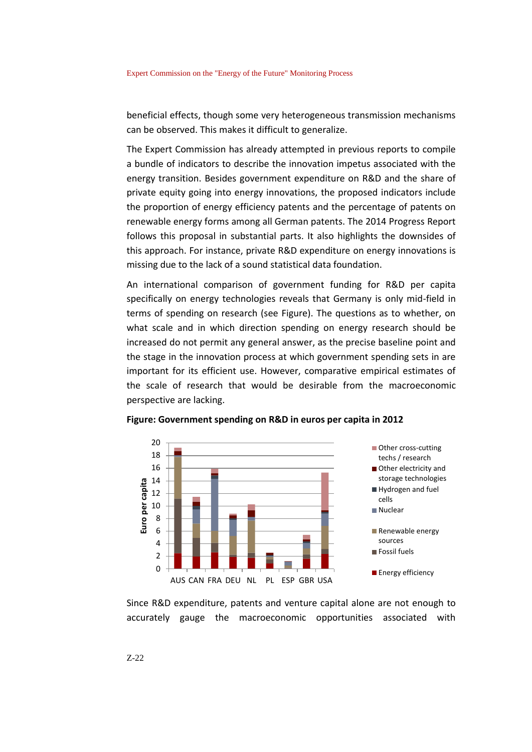beneficial effects, though some very heterogeneous transmission mechanisms can be observed. This makes it difficult to generalize.

The Expert Commission has already attempted in previous reports to compile a bundle of indicators to describe the innovation impetus associated with the energy transition. Besides government expenditure on R&D and the share of private equity going into energy innovations, the proposed indicators include the proportion of energy efficiency patents and the percentage of patents on renewable energy forms among all German patents. The 2014 Progress Report follows this proposal in substantial parts. It also highlights the downsides of this approach. For instance, private R&D expenditure on energy innovations is missing due to the lack of a sound statistical data foundation.

An international comparison of government funding for R&D per capita specifically on energy technologies reveals that Germany is only mid-field in terms of spending on research (see Figure). The questions as to whether, on what scale and in which direction spending on energy research should be increased do not permit any general answer, as the precise baseline point and the stage in the innovation process at which government spending sets in are important for its efficient use. However, comparative empirical estimates of the scale of research that would be desirable from the macroeconomic perspective are lacking.



**Figure: Government spending on R&D in euros per capita in 2012**

Since R&D expenditure, patents and venture capital alone are not enough to accurately gauge the macroeconomic opportunities associated with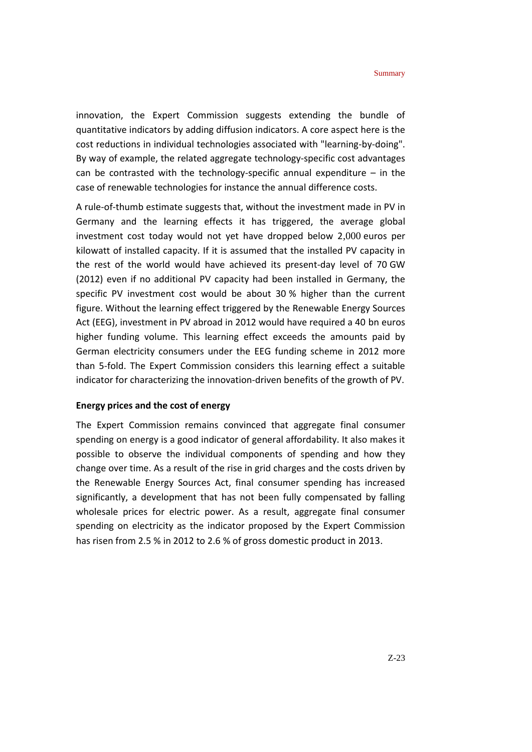innovation, the Expert Commission suggests extending the bundle of quantitative indicators by adding diffusion indicators. A core aspect here is the cost reductions in individual technologies associated with "learning-by-doing". By way of example, the related aggregate technology-specific cost advantages can be contrasted with the technology-specific annual expenditure  $-$  in the case of renewable technologies for instance the annual difference costs.

A rule-of-thumb estimate suggests that, without the investment made in PV in Germany and the learning effects it has triggered, the average global investment cost today would not yet have dropped below 2,000 euros per kilowatt of installed capacity. If it is assumed that the installed PV capacity in the rest of the world would have achieved its present-day level of 70 GW (2012) even if no additional PV capacity had been installed in Germany, the specific PV investment cost would be about 30 % higher than the current figure. Without the learning effect triggered by the Renewable Energy Sources Act (EEG), investment in PV abroad in 2012 would have required a 40 bn euros higher funding volume. This learning effect exceeds the amounts paid by German electricity consumers under the EEG funding scheme in 2012 more than 5-fold. The Expert Commission considers this learning effect a suitable indicator for characterizing the innovation-driven benefits of the growth of PV.

#### **Energy prices and the cost of energy**

The Expert Commission remains convinced that aggregate final consumer spending on energy is a good indicator of general affordability. It also makes it possible to observe the individual components of spending and how they change over time. As a result of the rise in grid charges and the costs driven by the Renewable Energy Sources Act, final consumer spending has increased significantly, a development that has not been fully compensated by falling wholesale prices for electric power. As a result, aggregate final consumer spending on electricity as the indicator proposed by the Expert Commission has risen from 2.5 % in 2012 to 2.6 % of gross domestic product in 2013.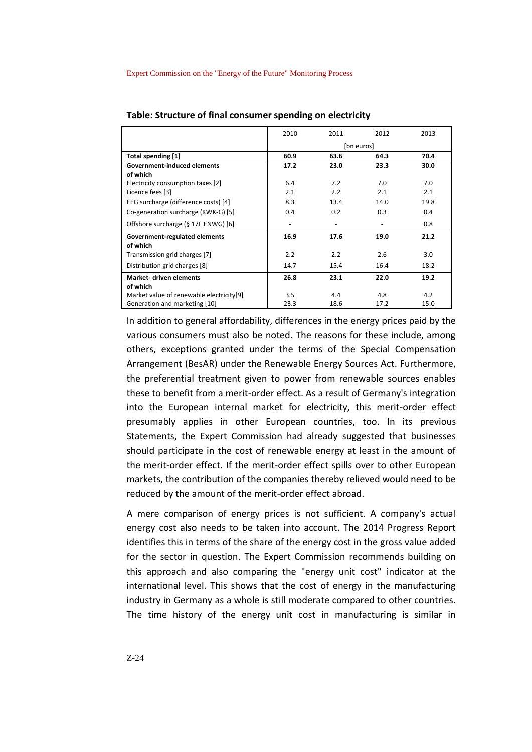|                                          | 2010       | 2011 | 2012 | 2013 |  |
|------------------------------------------|------------|------|------|------|--|
|                                          | [bn euros] |      |      |      |  |
| <b>Total spending [1]</b>                | 60.9       | 63.6 | 64.3 | 70.4 |  |
| <b>Government-induced elements</b>       | 17.2       | 23.0 | 23.3 | 30.0 |  |
| of which                                 |            |      |      |      |  |
| Electricity consumption taxes [2]        | 6.4        | 7.2  | 7.0  | 7.0  |  |
| Licence fees [3]                         | 2.1        | 2.2  | 2.1  | 2.1  |  |
| EEG surcharge (difference costs) [4]     | 8.3        | 13.4 | 14.0 | 19.8 |  |
| Co-generation surcharge (KWK-G) [5]      | 0.4        | 0.2  | 0.3  | 0.4  |  |
| Offshore surcharge (§ 17F ENWG) [6]      |            |      |      | 0.8  |  |
| Government-regulated elements            | 16.9       | 17.6 | 19.0 | 21.2 |  |
| of which                                 |            |      |      |      |  |
| Transmission grid charges [7]            | 2.2        | 2.2  | 2.6  | 3.0  |  |
| Distribution grid charges [8]            | 14.7       | 15.4 | 16.4 | 18.2 |  |
| <b>Market- driven elements</b>           | 26.8       | 23.1 | 22.0 | 19.2 |  |
| of which                                 |            |      |      |      |  |
| Market value of renewable electricity[9] | 3.5        | 4.4  | 4.8  | 4.2  |  |
| Generation and marketing [10]            | 23.3       | 18.6 | 17.2 | 15.0 |  |

**Table: Structure of final consumer spending on electricity**

In addition to general affordability, differences in the energy prices paid by the various consumers must also be noted. The reasons for these include, among others, exceptions granted under the terms of the Special Compensation Arrangement (BesAR) under the Renewable Energy Sources Act. Furthermore, the preferential treatment given to power from renewable sources enables these to benefit from a merit-order effect. As a result of Germany's integration into the European internal market for electricity, this merit-order effect presumably applies in other European countries, too. In its previous Statements, the Expert Commission had already suggested that businesses should participate in the cost of renewable energy at least in the amount of the merit-order effect. If the merit-order effect spills over to other European markets, the contribution of the companies thereby relieved would need to be reduced by the amount of the merit-order effect abroad.

A mere comparison of energy prices is not sufficient. A company's actual energy cost also needs to be taken into account. The 2014 Progress Report identifies this in terms of the share of the energy cost in the gross value added for the sector in question. The Expert Commission recommends building on this approach and also comparing the "energy unit cost" indicator at the international level. This shows that the cost of energy in the manufacturing industry in Germany as a whole is still moderate compared to other countries. The time history of the energy unit cost in manufacturing is similar in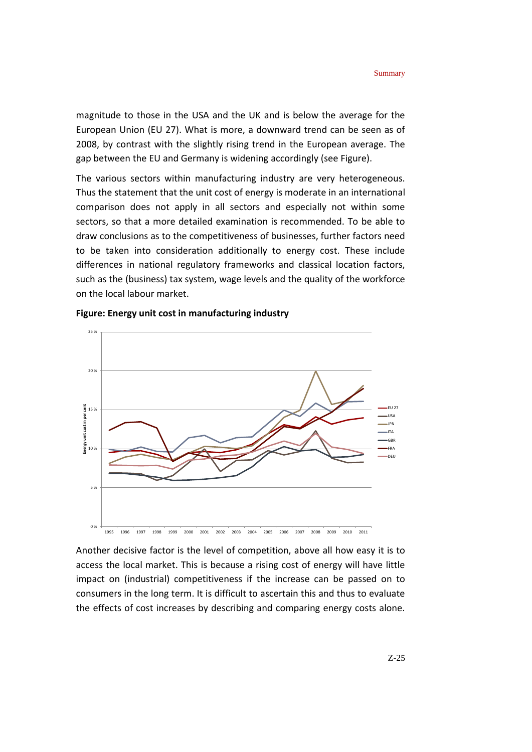magnitude to those in the USA and the UK and is below the average for the European Union (EU 27). What is more, a downward trend can be seen as of 2008, by contrast with the slightly rising trend in the European average. The gap between the EU and Germany is widening accordingly (see Figure).

The various sectors within manufacturing industry are very heterogeneous. Thus the statement that the unit cost of energy is moderate in an international comparison does not apply in all sectors and especially not within some sectors, so that a more detailed examination is recommended. To be able to draw conclusions as to the competitiveness of businesses, further factors need to be taken into consideration additionally to energy cost. These include differences in national regulatory frameworks and classical location factors, such as the (business) tax system, wage levels and the quality of the workforce on the local labour market.



#### **Figure: Energy unit cost in manufacturing industry**

Another decisive factor is the level of competition, above all how easy it is to access the local market. This is because a rising cost of energy will have little impact on (industrial) competitiveness if the increase can be passed on to consumers in the long term. It is difficult to ascertain this and thus to evaluate the effects of cost increases by describing and comparing energy costs alone.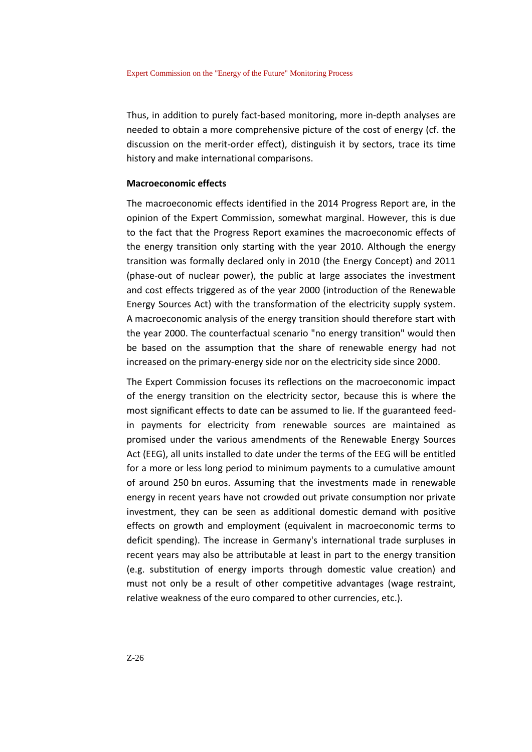Thus, in addition to purely fact-based monitoring, more in-depth analyses are needed to obtain a more comprehensive picture of the cost of energy (cf. the discussion on the merit-order effect), distinguish it by sectors, trace its time history and make international comparisons.

#### **Macroeconomic effects**

The macroeconomic effects identified in the 2014 Progress Report are, in the opinion of the Expert Commission, somewhat marginal. However, this is due to the fact that the Progress Report examines the macroeconomic effects of the energy transition only starting with the year 2010. Although the energy transition was formally declared only in 2010 (the Energy Concept) and 2011 (phase-out of nuclear power), the public at large associates the investment and cost effects triggered as of the year 2000 (introduction of the Renewable Energy Sources Act) with the transformation of the electricity supply system. A macroeconomic analysis of the energy transition should therefore start with the year 2000. The counterfactual scenario "no energy transition" would then be based on the assumption that the share of renewable energy had not increased on the primary-energy side nor on the electricity side since 2000.

The Expert Commission focuses its reflections on the macroeconomic impact of the energy transition on the electricity sector, because this is where the most significant effects to date can be assumed to lie. If the guaranteed feedin payments for electricity from renewable sources are maintained as promised under the various amendments of the Renewable Energy Sources Act (EEG), all units installed to date under the terms of the EEG will be entitled for a more or less long period to minimum payments to a cumulative amount of around 250 bn euros. Assuming that the investments made in renewable energy in recent years have not crowded out private consumption nor private investment, they can be seen as additional domestic demand with positive effects on growth and employment (equivalent in macroeconomic terms to deficit spending). The increase in Germany's international trade surpluses in recent years may also be attributable at least in part to the energy transition (e.g. substitution of energy imports through domestic value creation) and must not only be a result of other competitive advantages (wage restraint, relative weakness of the euro compared to other currencies, etc.).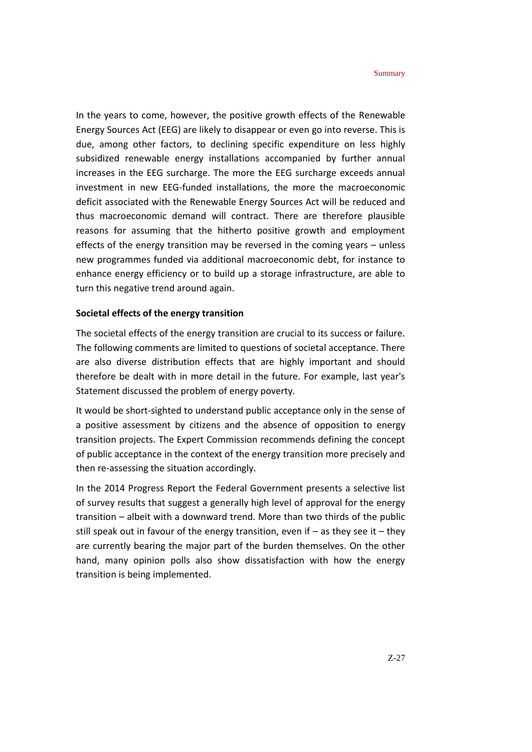In the years to come, however, the positive growth effects of the Renewable Energy Sources Act (EEG) are likely to disappear or even go into reverse. This is due, among other factors, to declining specific expenditure on less highly subsidized renewable energy installations accompanied by further annual increases in the EEG surcharge. The more the EEG surcharge exceeds annual investment in new EEG-funded installations, the more the macroeconomic deficit associated with the Renewable Energy Sources Act will be reduced and thus macroeconomic demand will contract. There are therefore plausible reasons for assuming that the hitherto positive growth and employment effects of the energy transition may be reversed in the coming years – unless new programmes funded via additional macroeconomic debt, for instance to enhance energy efficiency or to build up a storage infrastructure, are able to turn this negative trend around again.

#### **Societal effects of the energy transition**

The societal effects of the energy transition are crucial to its success or failure. The following comments are limited to questions of societal acceptance. There are also diverse distribution effects that are highly important and should therefore be dealt with in more detail in the future. For example, last year's Statement discussed the problem of energy poverty.

It would be short-sighted to understand public acceptance only in the sense of a positive assessment by citizens and the absence of opposition to energy transition projects. The Expert Commission recommends defining the concept of public acceptance in the context of the energy transition more precisely and then re-assessing the situation accordingly.

In the 2014 Progress Report the Federal Government presents a selective list of survey results that suggest a generally high level of approval for the energy transition – albeit with a downward trend. More than two thirds of the public still speak out in favour of the energy transition, even if – as they see it – they are currently bearing the major part of the burden themselves. On the other hand, many opinion polls also show dissatisfaction with how the energy transition is being implemented.